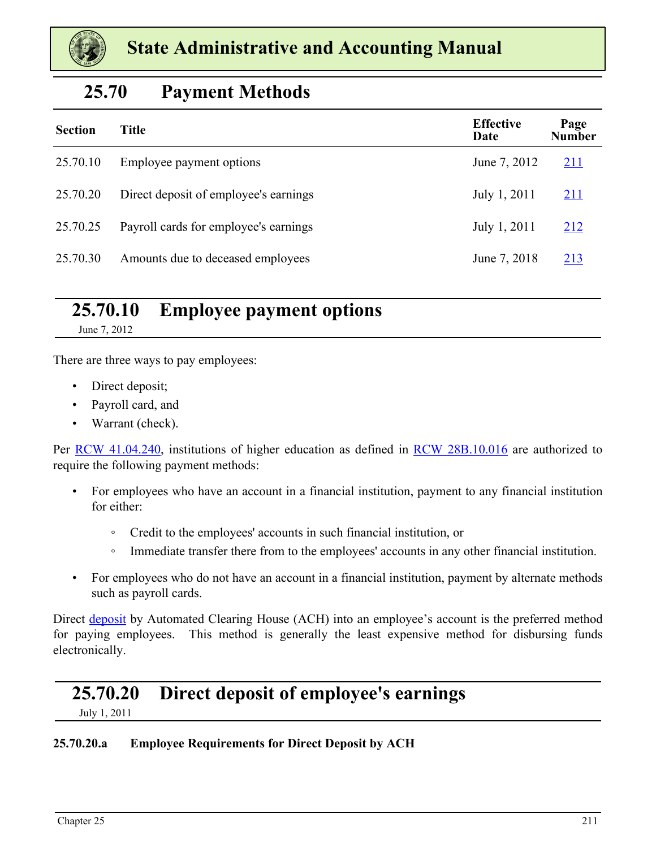

# **25.70 Payment Methods**

| <b>Section</b> | <b>Title</b>                          | <b>Effective</b><br>Date | Page<br><b>Number</b> |
|----------------|---------------------------------------|--------------------------|-----------------------|
| 25.70.10       | Employee payment options              | June 7, 2012             | <u>211</u>            |
| 25.70.20       | Direct deposit of employee's earnings | July 1, 2011             | <u>211</u>            |
| 25.70.25       | Payroll cards for employee's earnings | July 1, 2011             | <u>212</u>            |
| 25.70.30       | Amounts due to deceased employees     | June 7, 2018             | <u>213</u>            |

# **25.70.10 Employee payment options**

June 7, 2012

There are three ways to pay employees:

- Direct deposit;
- Payroll card, and
- Warrant (check).

Per [RCW 41.04.240](https://apps.leg.wa.gov/RCW/default.aspx?cite=41.04.240), institutions of higher education as defined in [RCW 28B.10.016](https://apps.leg.wa.gov/RCW/default.aspx?cite=28B.10.016) are authorized to require the following payment methods:

- For employees who have an account in a financial institution, payment to any financial institution for either:
	- Credit to the employees' accounts in such financial institution, or
	- Immediate transfer there from to the employees' accounts in any other financial institution.
- For employees who do not have an account in a financial institution, payment by alternate methods such as payroll cards.

Direct deposit by Automated Clearing House (ACH) into an employee's account is the preferred method for paying employees. This method is generally the least expensive method for disbursing funds electronically.

# **25.70.20 Direct deposit of employee's earnings**

July 1, 2011

### **25.70.20.a Employee Requirements for Direct Deposit by ACH**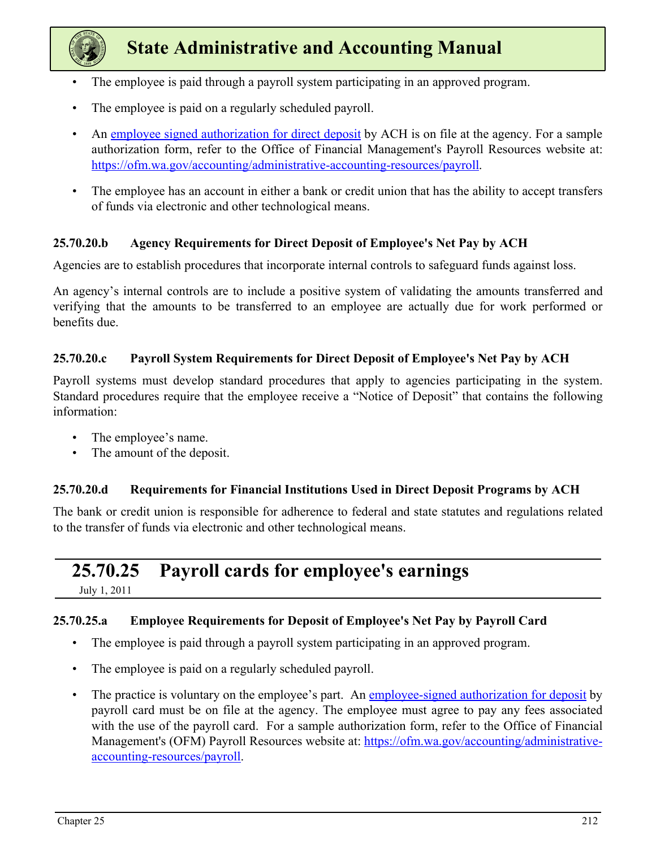<span id="page-1-0"></span>

- The employee is paid through a payroll system participating in an approved program.
- The employee is paid on a regularly scheduled payroll.
- An [employee signed authorization for direct deposit](https://ofm.wa.gov/sites/default/files/public/legacy/resources/payroll/PRACHAuthorizationForm.docx) by ACH is on file at the agency. For a sample authorization form, refer to the Office of Financial Management's Payroll Resources website at: <https://ofm.wa.gov/accounting/administrative-accounting-resources/payroll>.
- The employee has an account in either a bank or credit union that has the ability to accept transfers of funds via electronic and other technological means.

#### **25.70.20.b Agency Requirements for Direct Deposit of Employee's Net Pay by ACH**

Agencies are to establish procedures that incorporate internal controls to safeguard funds against loss.

An agency's internal controls are to include a positive system of validating the amounts transferred and verifying that the amounts to be transferred to an employee are actually due for work performed or benefits due.

#### **25.70.20.c Payroll System Requirements for Direct Deposit of Employee's Net Pay by ACH**

Payroll systems must develop standard procedures that apply to agencies participating in the system. Standard procedures require that the employee receive a "Notice of Deposit" that contains the following information:

- The employee's name.
- The amount of the deposit.

### **25.70.20.d Requirements for Financial Institutions Used in Direct Deposit Programs by ACH**

The bank or credit union is responsible for adherence to federal and state statutes and regulations related to the transfer of funds via electronic and other technological means.

# **25.70.25 Payroll cards for employee's earnings**

July 1, 2011

### **25.70.25.a Employee Requirements for Deposit of Employee's Net Pay by Payroll Card**

- The employee is paid through a payroll system participating in an approved program.
- The employee is paid on a regularly scheduled payroll.
- The practice is voluntary on the employee's part. An [employee-signed authorization for deposit](https://ofm.wa.gov/sites/default/files/public/legacy/resources/payroll/PRACHAuthorizationForm.docx) by payroll card must be on file at the agency. The employee must agree to pay any fees associated with the use of the payroll card. For a sample authorization form, refer to the Office of Financial Management's (OFM) Payroll Resources website at: [https://ofm.wa.gov/accounting/administrative](https://ofm.wa.gov/accounting/administrative-accounting-resources/payroll)[accounting-resources/payroll.](https://ofm.wa.gov/accounting/administrative-accounting-resources/payroll)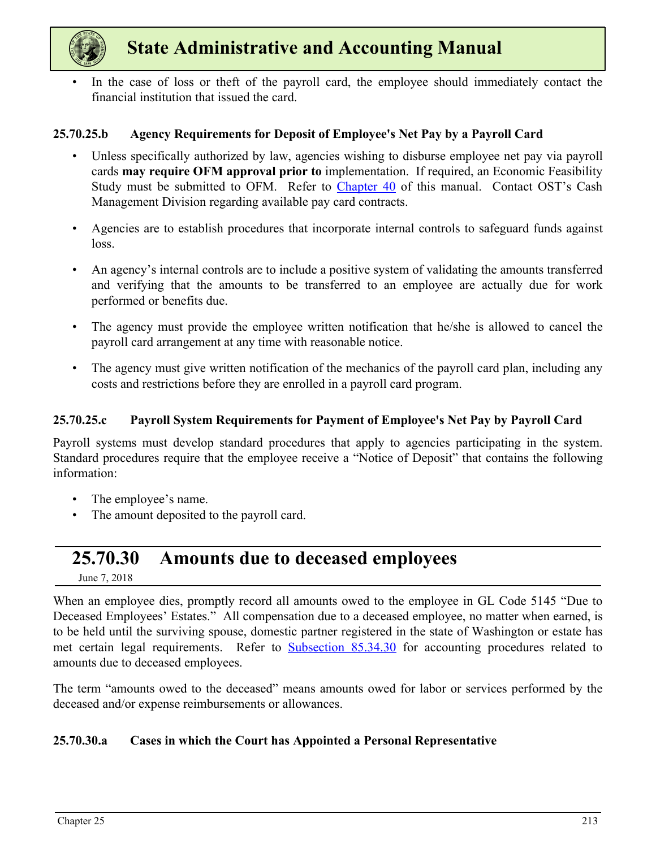<span id="page-2-0"></span>

In the case of loss or theft of the payroll card, the employee should immediately contact the financial institution that issued the card.

#### **25.70.25.b Agency Requirements for Deposit of Employee's Net Pay by a Payroll Card**

- Unless specifically authorized by law, agencies wishing to disburse employee net pay via payroll cards **may require OFM approval prior to** implementation. If required, an Economic Feasibility Study must be submitted to OFM. Refer to Chapter 40 of this manual. Contact OST's Cash Management Division regarding available pay card contracts.
- Agencies are to establish procedures that incorporate internal controls to safeguard funds against loss.
- An agency's internal controls are to include a positive system of validating the amounts transferred and verifying that the amounts to be transferred to an employee are actually due for work performed or benefits due.
- The agency must provide the employee written notification that he/she is allowed to cancel the payroll card arrangement at any time with reasonable notice.
- The agency must give written notification of the mechanics of the payroll card plan, including any costs and restrictions before they are enrolled in a payroll card program.

#### **25.70.25.c Payroll System Requirements for Payment of Employee's Net Pay by Payroll Card**

Payroll systems must develop standard procedures that apply to agencies participating in the system. Standard procedures require that the employee receive a "Notice of Deposit" that contains the following information:

- The employee's name.
- The amount deposited to the payroll card.

### **25.70.30 Amounts due to deceased employees**

June 7, 2018

When an employee dies, promptly record all amounts owed to the employee in GL Code 5145 "Due to Deceased Employees' Estates." All compensation due to a deceased employee, no matter when earned, is to be held until the surviving spouse, domestic partner registered in the state of Washington or estate has met certain legal requirements. Refer to **Subsection 85.34.30** for accounting procedures related to amounts due to deceased employees.

The term "amounts owed to the deceased" means amounts owed for labor or services performed by the deceased and/or expense reimbursements or allowances.

#### **25.70.30.a Cases in which the Court has Appointed a Personal Representative**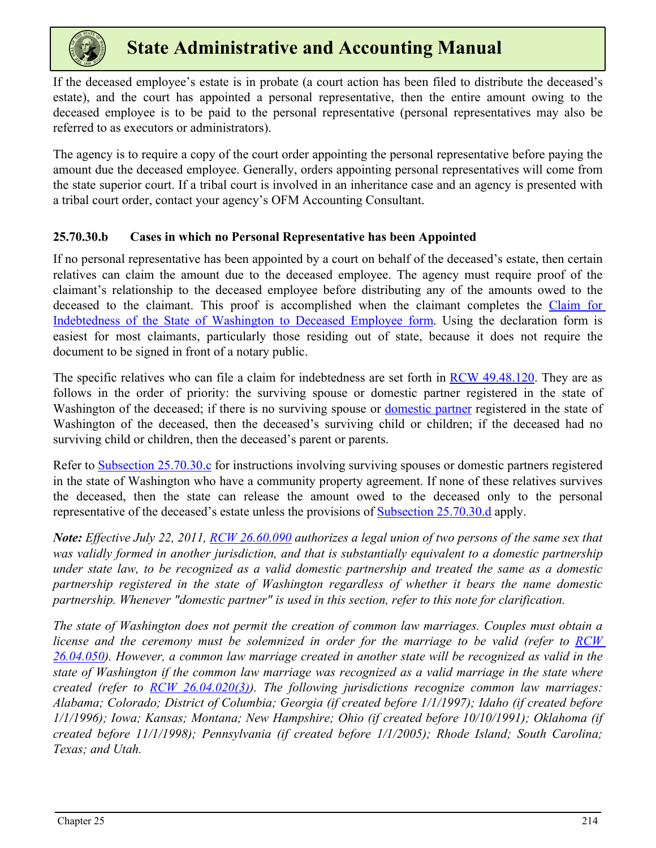

If the deceased employee's estate is in probate (a court action has been filed to distribute the deceased's estate), and the court has appointed a personal representative, then the entire amount owing to the deceased employee is to be paid to the personal representative (personal representatives may also be referred to as executors or administrators).

The agency is to require a copy of the court order appointing the personal representative before paying the amount due the deceased employee. Generally, orders appointing personal representatives will come from the state superior court. If a tribal court is involved in an inheritance case and an agency is presented with a tribal court order, contact your agency's OFM Accounting Consultant.

#### **25.70.30.b Cases in which no Personal Representative has been Appointed**

If no personal representative has been appointed by a court on behalf of the deceased's estate, then certain relatives can claim the amount due to the deceased employee. The agency must require proof of the claimant's relationship to the deceased employee before distributing any of the amounts owed to the deceased to the claimant. This proof is accomplished when the claimant completes the [Claim for](https://ofm.wa.gov/sites/default/files/public/legacy/policy/ClaimforIndebtednessofStateofWashingtontoDeceasedEmployee-Declaration.pdf) [Indebtedness of the State of Washington to Deceased Employee f](https://ofm.wa.gov/sites/default/files/public/legacy/policy/ClaimforIndebtednessofStateofWashingtontoDeceasedEmployee-Declaration.pdf)orm. Using the declaration form is easiest for most claimants, particularly those residing out of state, because it does not require the document to be signed in front of a notary public.

The specific relatives who can file a claim for indebtedness are set forth in [RCW 49.48.120](https://app.leg.wa.gov/RCW/default.aspx?cite=49.48.120). They are as follows in the order of priority: the surviving spouse or domestic partner registered in the state of Washington of the deceased; if there is no surviving spouse or domestic partner registered in the state of Washington of the deceased, then the deceased's surviving child or children; if the deceased had no surviving child or children, then the deceased's parent or parents.

Refer to [Subsection 25.70.30.c](#page-4-0) for instructions involving surviving spouses or domestic partners registered in the state of Washington who have a community property agreement. If none of these relatives survives the deceased, then the state can release the amount owed to the deceased only to the personal representative of the deceased's estate unless the provisions of **Subsection 25.70.30.d** apply.

*Note: Effective July 22, 2011, [RCW 26.60.090](https://apps.leg.wa.gov/rcw/default.aspx?cite=26.60.090) authorizes a legal union of two persons of the same sex that was validly formed in another jurisdiction, and that is substantially equivalent to a domestic partnership under state law, to be recognized as a valid domestic partnership and treated the same as a domestic partnership registered in the state of Washington regardless of whether it bears the name domestic partnership. Whenever "domestic partner" is used in this section, refer to this note for clarification.*

*The state of Washington does not permit the creation of common law marriages. Couples must obtain a license and the ceremony must be solemnized in order for the marriage to be valid (refer to RCW [26.04.050\)](https://apps.leg.wa.gov/RCW/default.aspx?cite=26.04.050). However, a common law marriage created in another state will be recognized as valid in the state of Washington if the common law marriage was recognized as a valid marriage in the state where created (refer to [RCW 26.04.020\(3\)](https://apps.leg.wa.gov/RCW/default.aspx?cite=26.04.020)). The following jurisdictions recognize common law marriages: Alabama; Colorado; District of Columbia; Georgia (if created before 1/1/1997); Idaho (if created before 1/1/1996); Iowa; Kansas; Montana; New Hampshire; Ohio (if created before 10/10/1991); Oklahoma (if created before 11/1/1998); Pennsylvania (if created before 1/1/2005); Rhode Island; South Carolina; Texas; and Utah.*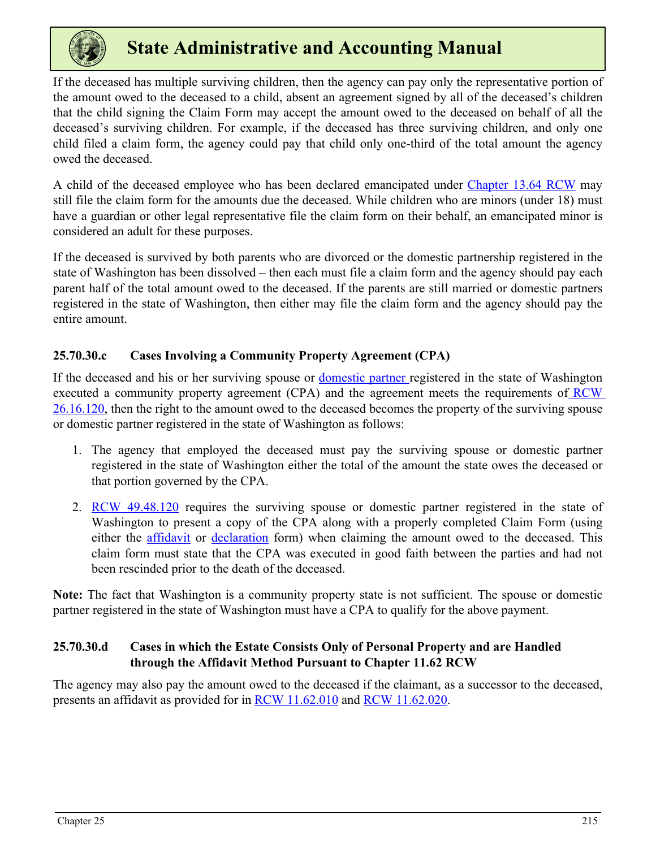<span id="page-4-0"></span>

If the deceased has multiple surviving children, then the agency can pay only the representative portion of the amount owed to the deceased to a child, absent an agreement signed by all of the deceased's children that the child signing the Claim Form may accept the amount owed to the deceased on behalf of all the deceased's surviving children. For example, if the deceased has three surviving children, and only one child filed a claim form, the agency could pay that child only one-third of the total amount the agency owed the deceased.

A child of the deceased employee who has been declared emancipated under [Chapter 13.64 RCW](https://apps.leg.wa.gov/RCW/default.aspx?cite=13.64) may still file the claim form for the amounts due the deceased. While children who are minors (under 18) must have a guardian or other legal representative file the claim form on their behalf, an emancipated minor is considered an adult for these purposes.

If the deceased is survived by both parents who are divorced or the domestic partnership registered in the state of Washington has been dissolved – then each must file a claim form and the agency should pay each parent half of the total amount owed to the deceased. If the parents are still married or domestic partners registered in the state of Washington, then either may file the claim form and the agency should pay the entire amount.

### **25.70.30.c Cases Involving a Community Property Agreement (CPA)**

If the deceased and his or her surviving spouse or domestic partner registered in the state of Washington executed a community property agreement (CPA) and the agreement meets the requirements of  $RCW$ [26.16.120,](https://apps.leg.wa.gov/RCW/default.aspx?cite=26.16.120) then the right to the amount owed to the deceased becomes the property of the surviving spouse or domestic partner registered in the state of Washington as follows:

- 1. The agency that employed the deceased must pay the surviving spouse or domestic partner registered in the state of Washington either the total of the amount the state owes the deceased or that portion governed by the CPA.
- 2. [RCW 49.48.120](https://app.leg.wa.gov/RCW/default.aspx?cite=49.48.120) requires the surviving spouse or domestic partner registered in the state of Washington to present a copy of the CPA along with a properly completed Claim Form (using either the [affidavit](https://ofm.wa.gov/sites/default/files/public/legacy/policy/ClaimforIndebtednessofStateofWashingtontoDeceasedEmployee-Affidavit.pdf) or [declaration](https://ofm.wa.gov/sites/default/files/public/legacy/policy/ClaimforIndebtednessofStateofWashingtontoDeceasedEmployee-Declaration.pdf) form) when claiming the amount owed to the deceased. This claim form must state that the CPA was executed in good faith between the parties and had not been rescinded prior to the death of the deceased.

**Note:** The fact that Washington is a community property state is not sufficient. The spouse or domestic partner registered in the state of Washington must have a CPA to qualify for the above payment.

### **25.70.30.d Cases in which the Estate Consists Only of Personal Property and are Handled through the Affidavit Method Pursuant to Chapter 11.62 RCW**

The agency may also pay the amount owed to the deceased if the claimant, as a successor to the deceased, presents an affidavit as provided for in **RCW** 11.62.010 and **RCW** 11.62.020.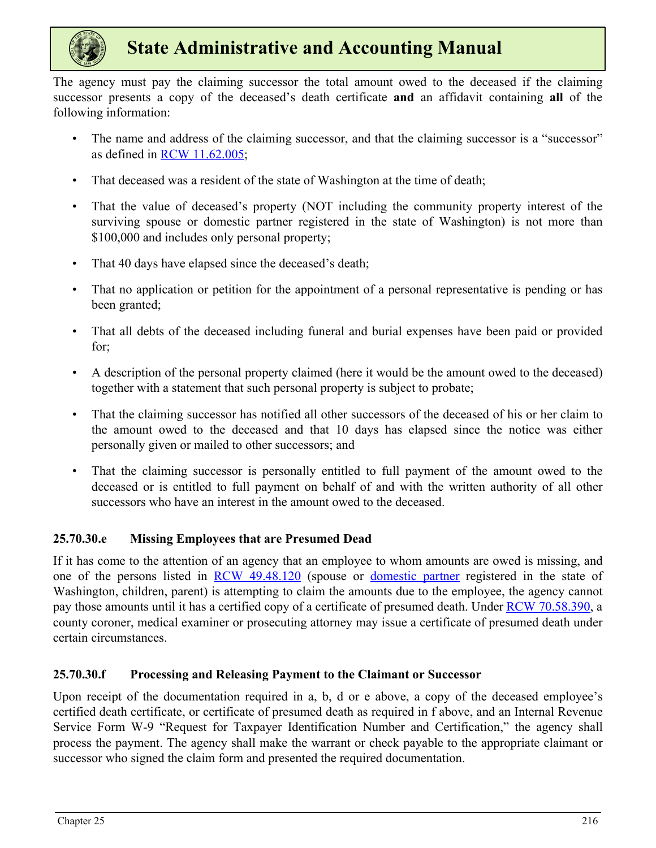

The agency must pay the claiming successor the total amount owed to the deceased if the claiming successor presents a copy of the deceased's death certificate **and** an affidavit containing **all** of the following information:

- The name and address of the claiming successor, and that the claiming successor is a "successor" as defined in [RCW 11.62.005](https://apps.leg.wa.gov/RCW/default.aspx?cite=11.62.005);
- That deceased was a resident of the state of Washington at the time of death;
- That the value of deceased's property (NOT including the community property interest of the surviving spouse or domestic partner registered in the state of Washington) is not more than \$100,000 and includes only personal property;
- That 40 days have elapsed since the deceased's death;
- That no application or petition for the appointment of a personal representative is pending or has been granted;
- That all debts of the deceased including funeral and burial expenses have been paid or provided for;
- A description of the personal property claimed (here it would be the amount owed to the deceased) together with a statement that such personal property is subject to probate;
- That the claiming successor has notified all other successors of the deceased of his or her claim to the amount owed to the deceased and that 10 days has elapsed since the notice was either personally given or mailed to other successors; and
- That the claiming successor is personally entitled to full payment of the amount owed to the deceased or is entitled to full payment on behalf of and with the written authority of all other successors who have an interest in the amount owed to the deceased.

### **25.70.30.e Missing Employees that are Presumed Dead**

If it has come to the attention of an agency that an employee to whom amounts are owed is missing, and one of the persons listed in [RCW 49.48.120](https://apps.leg.wa.gov/RCW/default.aspx?cite=49.48.120) (spouse or domestic partner registered in the state of Washington, children, parent) is attempting to claim the amounts due to the employee, the agency cannot pay those amounts until it has a certified copy of a certificate of presumed death. Under [RCW 70.58.390](https://apps.leg.wa.gov/RCW/default.aspx?cite=70.58.390), a county coroner, medical examiner or prosecuting attorney may issue a certificate of presumed death under certain circumstances.

### **25.70.30.f Processing and Releasing Payment to the Claimant or Successor**

Upon receipt of the documentation required in a, b, d or e above, a copy of the deceased employee's certified death certificate, or certificate of presumed death as required in f above, and an Internal Revenue Service Form W-9 "Request for Taxpayer Identification Number and Certification," the agency shall process the payment. The agency shall make the warrant or check payable to the appropriate claimant or successor who signed the claim form and presented the required documentation.